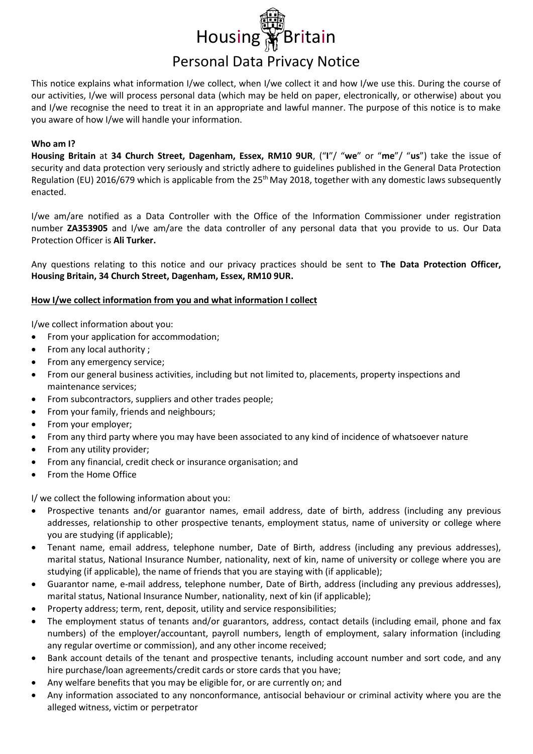# Housing **Pritain** Personal Data Privacy Notice

This notice explains what information I/we collect, when I/we collect it and how I/we use this. During the course of our activities, I/we will process personal data (which may be held on paper, electronically, or otherwise) about you and I/we recognise the need to treat it in an appropriate and lawful manner. The purpose of this notice is to make you aware of how I/we will handle your information.

## **Who am I?**

**Housing Britain** at **34 Church Street, Dagenham, Essex, RM10 9UR**, ("**I**"/ "**we**" or "**me**"/ "**us**") take the issue of security and data protection very seriously and strictly adhere to guidelines published in the General Data Protection Regulation (EU) 2016/679 which is applicable from the 25<sup>th</sup> May 2018, together with any domestic laws subsequently enacted.

I/we am/are notified as a Data Controller with the Office of the Information Commissioner under registration number **ZA353905** and I/we am/are the data controller of any personal data that you provide to us. Our Data Protection Officer is **Ali Turker.**

Any questions relating to this notice and our privacy practices should be sent to **The Data Protection Officer, Housing Britain, 34 Church Street, Dagenham, Essex, RM10 9UR.**

### **How I/we collect information from you and what information I collect**

I/we collect information about you:

- From your application for accommodation;
- From any local authority ;
- From any emergency service;
- From our general business activities, including but not limited to, placements, property inspections and maintenance services;
- From subcontractors, suppliers and other trades people;
- From your family, friends and neighbours;
- From your employer;
- From any third party where you may have been associated to any kind of incidence of whatsoever nature
- From any utility provider;
- From any financial, credit check or insurance organisation; and
- From the Home Office

I/ we collect the following information about you:

- Prospective tenants and/or guarantor names, email address, date of birth, address (including any previous addresses, relationship to other prospective tenants, employment status, name of university or college where you are studying (if applicable);
- Tenant name, email address, telephone number, Date of Birth, address (including any previous addresses), marital status, National Insurance Number, nationality, next of kin, name of university or college where you are studying (if applicable), the name of friends that you are staying with (if applicable);
- Guarantor name, e-mail address, telephone number, Date of Birth, address (including any previous addresses), marital status, National Insurance Number, nationality, next of kin (if applicable);
- Property address; term, rent, deposit, utility and service responsibilities;
- The employment status of tenants and/or guarantors, address, contact details (including email, phone and fax numbers) of the employer/accountant, payroll numbers, length of employment, salary information (including any regular overtime or commission), and any other income received;
- Bank account details of the tenant and prospective tenants, including account number and sort code, and any hire purchase/loan agreements/credit cards or store cards that you have;
- Any welfare benefits that you may be eligible for, or are currently on; and
- Any information associated to any nonconformance, antisocial behaviour or criminal activity where you are the alleged witness, victim or perpetrator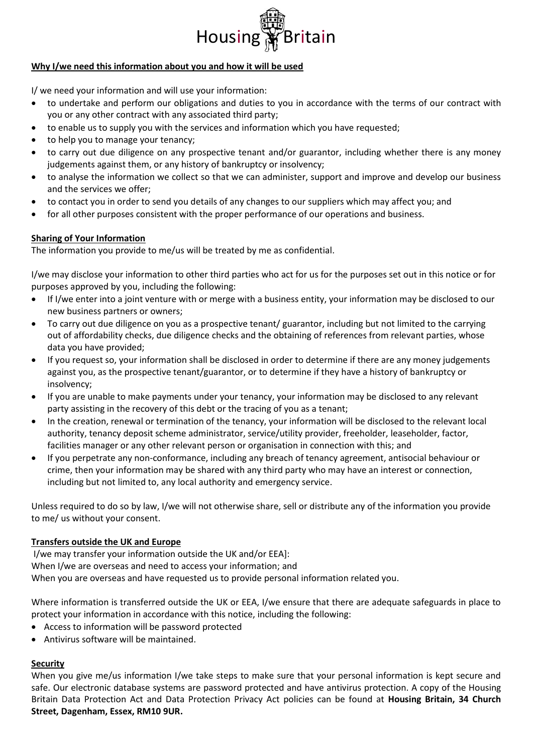

## **Why I/we need this information about you and how it will be used**

I/ we need your information and will use your information:

- to undertake and perform our obligations and duties to you in accordance with the terms of our contract with you or any other contract with any associated third party;
- to enable us to supply you with the services and information which you have requested;
- to help you to manage your tenancy;
- to carry out due diligence on any prospective tenant and/or guarantor, including whether there is any money judgements against them, or any history of bankruptcy or insolvency;
- to analyse the information we collect so that we can administer, support and improve and develop our business and the services we offer;
- to contact you in order to send you details of any changes to our suppliers which may affect you; and
- for all other purposes consistent with the proper performance of our operations and business.

## **Sharing of Your Information**

The information you provide to me/us will be treated by me as confidential.

I/we may disclose your information to other third parties who act for us for the purposes set out in this notice or for purposes approved by you, including the following:

- If I/we enter into a joint venture with or merge with a business entity, your information may be disclosed to our new business partners or owners;
- To carry out due diligence on you as a prospective tenant/ guarantor, including but not limited to the carrying out of affordability checks, due diligence checks and the obtaining of references from relevant parties, whose data you have provided;
- If you request so, your information shall be disclosed in order to determine if there are any money judgements against you, as the prospective tenant/guarantor, or to determine if they have a history of bankruptcy or insolvency;
- If you are unable to make payments under your tenancy, your information may be disclosed to any relevant party assisting in the recovery of this debt or the tracing of you as a tenant;
- In the creation, renewal or termination of the tenancy, your information will be disclosed to the relevant local authority, tenancy deposit scheme administrator, service/utility provider, freeholder, leaseholder, factor, facilities manager or any other relevant person or organisation in connection with this; and
- If you perpetrate any non-conformance, including any breach of tenancy agreement, antisocial behaviour or crime, then your information may be shared with any third party who may have an interest or connection, including but not limited to, any local authority and emergency service.

Unless required to do so by law, I/we will not otherwise share, sell or distribute any of the information you provide to me/ us without your consent.

## **Transfers outside the UK and Europe**

I/we may transfer your information outside the UK and/or EEA]: When I/we are overseas and need to access your information; and When you are overseas and have requested us to provide personal information related you.

Where information is transferred outside the UK or EEA, I/we ensure that there are adequate safeguards in place to protect your information in accordance with this notice, including the following:

- Access to information will be password protected
- Antivirus software will be maintained.

## **Security**

When you give me/us information I/we take steps to make sure that your personal information is kept secure and safe. Our electronic database systems are password protected and have antivirus protection. A copy of the Housing Britain Data Protection Act and Data Protection Privacy Act policies can be found at **Housing Britain, 34 Church Street, Dagenham, Essex, RM10 9UR.**